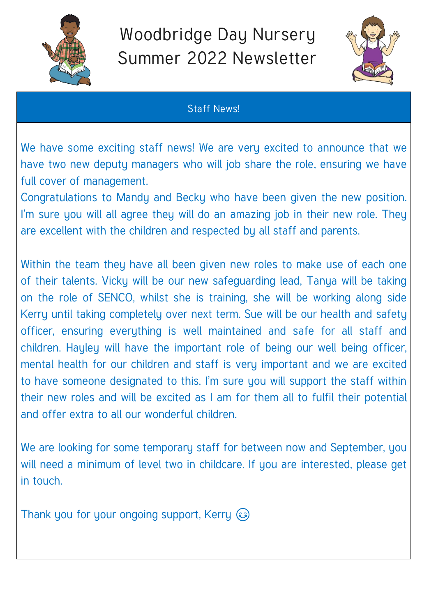

## Woodbridge Day Nursery Summer 2022 Newsletter



## Staff News!

We have some exciting staff news! We are very excited to announce that we have two new deputy managers who will job share the role, ensuring we have full cover of management.

Congratulations to Mandy and Becky who have been given the new position. I'm sure you will all agree they will do an amazing job in their new role. They are excellent with the children and respected by all staff and parents.

Within the team they have all been given new roles to make use of each one of their talents. Vicky will be our new safeguarding lead, Tanya will be taking on the role of SENCO, whilst she is training, she will be working along side Kerry until taking completely over next term. Sue will be our health and safety officer, ensuring everything is well maintained and safe for all staff and children. Hayley will have the important role of being our well being officer, mental health for our children and staff is very important and we are excited to have someone designated to this. I'm sure you will support the staff within their new roles and will be excited as I am for them all to fulfil their potential and offer extra to all our wonderful children.

We are looking for some temporary staff for between now and September, you will need a minimum of level two in childcare. If you are interested, please get in touch.

Thank you for your ongoing support, Kerry  $\odot$